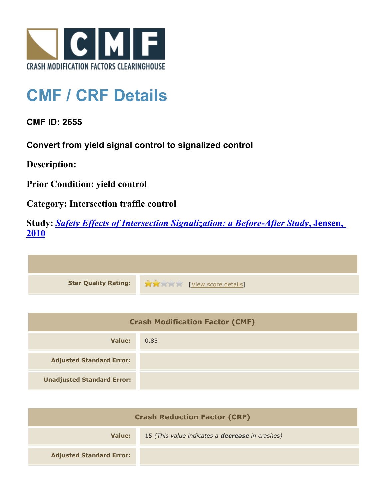

## **CMF / CRF Details**

**CMF ID: 2655**

**Convert from yield signal control to signalized control**

**Description:** 

**Prior Condition: yield control**

**Category: Intersection traffic control**

**Study:** *[Safety Effects of Intersection Signalization: a Before-After Study](http://www.cmfclearinghouse.org/study_detail.cfm?stid=170)***[, Jensen,](http://www.cmfclearinghouse.org/study_detail.cfm?stid=170) [2010](http://www.cmfclearinghouse.org/study_detail.cfm?stid=170)**



| <b>Crash Modification Factor (CMF)</b> |      |
|----------------------------------------|------|
| Value:                                 | 0.85 |
| <b>Adjusted Standard Error:</b>        |      |
| <b>Unadjusted Standard Error:</b>      |      |

| <b>Crash Reduction Factor (CRF)</b> |                                                        |
|-------------------------------------|--------------------------------------------------------|
| Value:                              | 15 (This value indicates a <b>decrease</b> in crashes) |
| <b>Adjusted Standard Error:</b>     |                                                        |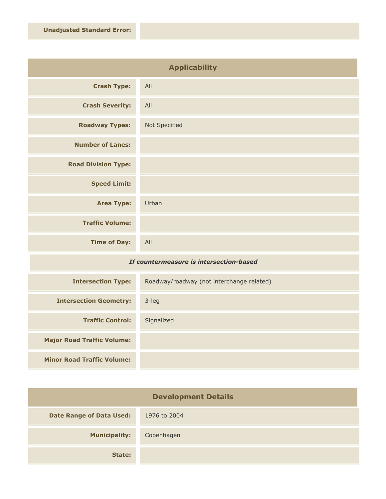| <b>Applicability</b>       |               |
|----------------------------|---------------|
| <b>Crash Type:</b>         | All           |
| <b>Crash Severity:</b>     | All           |
| <b>Roadway Types:</b>      | Not Specified |
| <b>Number of Lanes:</b>    |               |
| <b>Road Division Type:</b> |               |
| <b>Speed Limit:</b>        |               |
| <b>Area Type:</b>          | Urban         |
| <b>Traffic Volume:</b>     |               |
| <b>Time of Day:</b>        | All           |

## *If countermeasure is intersection-based*

| <b>Intersection Type:</b>         | Roadway/roadway (not interchange related) |
|-----------------------------------|-------------------------------------------|
| <b>Intersection Geometry:</b>     | $3$ -leg                                  |
| <b>Traffic Control:</b>           | Signalized                                |
| <b>Major Road Traffic Volume:</b> |                                           |
| <b>Minor Road Traffic Volume:</b> |                                           |

| <b>Development Details</b>      |              |
|---------------------------------|--------------|
| <b>Date Range of Data Used:</b> | 1976 to 2004 |
| <b>Municipality:</b>            | Copenhagen   |
| State:                          |              |